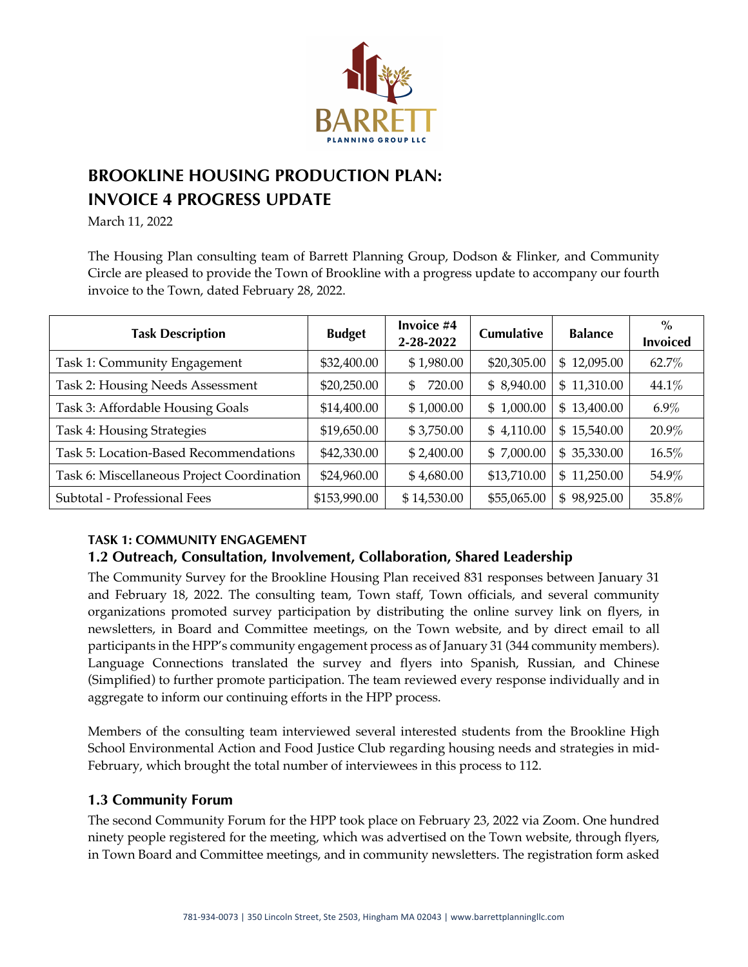

# **BROOKLINE HOUSING PRODUCTION PLAN: INVOICE 4 PROGRESS UPDATE**

March 11, 2022

The Housing Plan consulting team of Barrett Planning Group, Dodson & Flinker, and Community Circle are pleased to provide the Town of Brookline with a progress update to accompany our fourth invoice to the Town, dated February 28, 2022.

| <b>Task Description</b>                    | <b>Budget</b> | Invoice #4<br>2-28-2022 | <b>Cumulative</b> | <b>Balance</b> | $\%$<br><b>Invoiced</b> |
|--------------------------------------------|---------------|-------------------------|-------------------|----------------|-------------------------|
| Task 1: Community Engagement               | \$32,400.00   | \$1,980.00              | \$20,305.00       | \$12,095.00    | 62.7%                   |
| Task 2: Housing Needs Assessment           | \$20,250.00   | 720.00<br>\$            | \$8,940.00        | \$11,310.00    | 44.1%                   |
| Task 3: Affordable Housing Goals           | \$14,400.00   | \$1,000.00              | \$1,000.00        | \$13,400.00    | $6.9\%$                 |
| Task 4: Housing Strategies                 | \$19,650.00   | \$3,750.00              | \$4,110.00        | \$15,540.00    | 20.9%                   |
| Task 5: Location-Based Recommendations     | \$42,330.00   | \$2,400.00              | \$7,000.00        | \$35,330.00    | 16.5%                   |
| Task 6: Miscellaneous Project Coordination | \$24,960.00   | \$4,680.00              | \$13,710.00       | \$11,250.00    | 54.9%                   |
| Subtotal - Professional Fees               | \$153,990.00  | \$14,530.00             | \$55,065.00       | \$98,925.00    | 35.8%                   |

#### **TASK 1: COMMUNITY ENGAGEMENT**

## **1.2 Outreach, Consultation, Involvement, Collaboration, Shared Leadership**

The Community Survey for the Brookline Housing Plan received 831 responses between January 31 and February 18, 2022. The consulting team, Town staff, Town officials, and several community organizations promoted survey participation by distributing the online survey link on flyers, in newsletters, in Board and Committee meetings, on the Town website, and by direct email to all participants in the HPP's community engagement process as of January 31 (344 community members). Language Connections translated the survey and flyers into Spanish, Russian, and Chinese (Simplified) to further promote participation. The team reviewed every response individually and in aggregate to inform our continuing efforts in the HPP process.

Members of the consulting team interviewed several interested students from the Brookline High School Environmental Action and Food Justice Club regarding housing needs and strategies in mid-February, which brought the total number of interviewees in this process to 112.

#### **1.3 Community Forum**

The second Community Forum for the HPP took place on February 23, 2022 via Zoom. One hundred ninety people registered for the meeting, which was advertised on the Town website, through flyers, in Town Board and Committee meetings, and in community newsletters. The registration form asked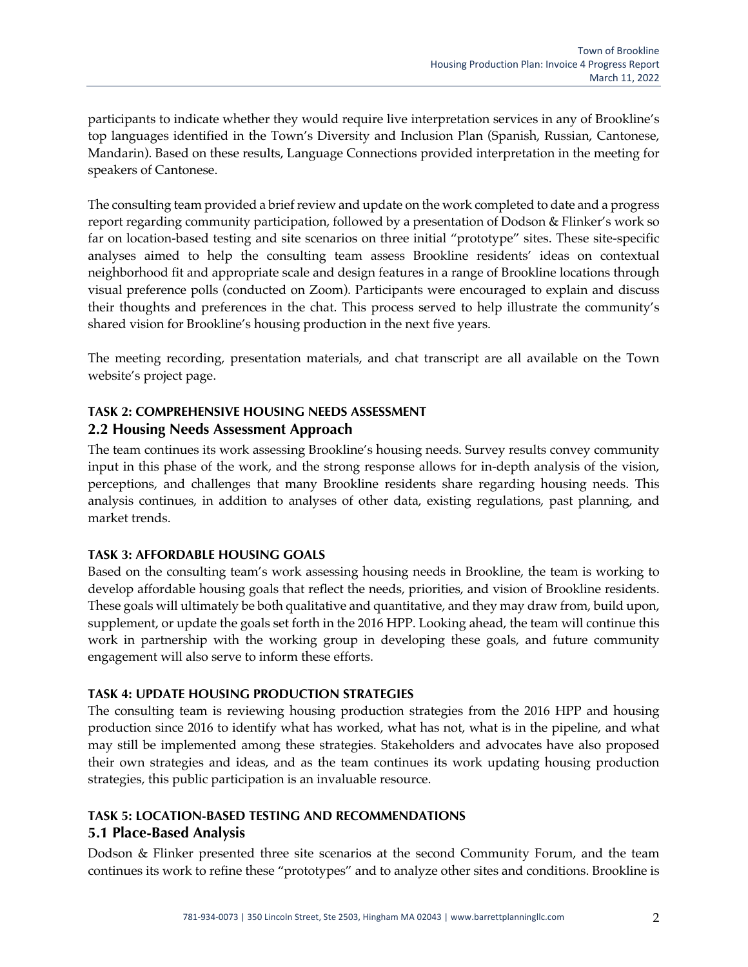participants to indicate whether they would require live interpretation services in any of Brookline's top languages identified in the Town's Diversity and Inclusion Plan (Spanish, Russian, Cantonese, Mandarin). Based on these results, Language Connections provided interpretation in the meeting for speakers of Cantonese.

The consulting team provided a brief review and update on the work completed to date and a progress report regarding community participation, followed by a presentation of Dodson & Flinker's work so far on location-based testing and site scenarios on three initial "prototype" sites. These site-specific analyses aimed to help the consulting team assess Brookline residents' ideas on contextual neighborhood fit and appropriate scale and design features in a range of Brookline locations through visual preference polls (conducted on Zoom). Participants were encouraged to explain and discuss their thoughts and preferences in the chat. This process served to help illustrate the community's shared vision for Brookline's housing production in the next five years.

The meeting recording, presentation materials, and chat transcript are all available on the Town website's project page.

### **TASK 2: COMPREHENSIVE HOUSING NEEDS ASSESSMENT 2.2 Housing Needs Assessment Approach**

The team continues its work assessing Brookline's housing needs. Survey results convey community input in this phase of the work, and the strong response allows for in-depth analysis of the vision, perceptions, and challenges that many Brookline residents share regarding housing needs. This analysis continues, in addition to analyses of other data, existing regulations, past planning, and market trends.

#### **TASK 3: AFFORDABLE HOUSING GOALS**

Based on the consulting team's work assessing housing needs in Brookline, the team is working to develop affordable housing goals that reflect the needs, priorities, and vision of Brookline residents. These goals will ultimately be both qualitative and quantitative, and they may draw from, build upon, supplement, or update the goals set forth in the 2016 HPP. Looking ahead, the team will continue this work in partnership with the working group in developing these goals, and future community engagement will also serve to inform these efforts.

#### **TASK 4: UPDATE HOUSING PRODUCTION STRATEGIES**

The consulting team is reviewing housing production strategies from the 2016 HPP and housing production since 2016 to identify what has worked, what has not, what is in the pipeline, and what may still be implemented among these strategies. Stakeholders and advocates have also proposed their own strategies and ideas, and as the team continues its work updating housing production strategies, this public participation is an invaluable resource.

### **TASK 5: LOCATION-BASED TESTING AND RECOMMENDATIONS 5.1 Place-Based Analysis**

Dodson & Flinker presented three site scenarios at the second Community Forum, and the team continues its work to refine these "prototypes" and to analyze other sites and conditions. Brookline is